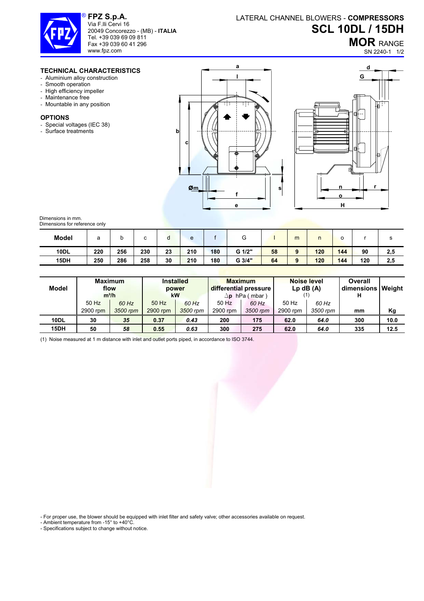

**FPZ S.p.A.**  Via F.lli Cervi 16 20049 Concorezzo - (MB) - **ITALIA** Tel. +39 039 69 09 811 Fax +39 039 60 41 296 www.fpz.com

## LATERAL CHANNEL BLOWERS - **COMPRESSORS SCL 10DL / 15DH**

**MOR** RANGE

SN 2240-1 1/2

## **TECHNICAL CHARACTERISTICS**

- Aluminium alloy construction
- Smooth operation
- High efficiency impeller
- Maintenance free
- Mountable in any position

## **OPTIONS**

- Special voltages (IEC 38)
- Surface treatments





Dimensions in mm. Dimensions for reference only

| <b>Model</b> | а   | ັ   |     | u  | e   |     | G      |    | m        |     | o   |     |     |
|--------------|-----|-----|-----|----|-----|-----|--------|----|----------|-----|-----|-----|-----|
| <b>10DL</b>  | 220 | 256 | 230 | 23 | 210 | 180 | G 1/2" | 58 | $\Omega$ | 120 | 144 | 90  | 2,5 |
| 15DH         | 250 | 286 | 258 | 30 | 210 | 180 | G 3/4" | 64 |          | 120 | 144 | 120 | 2,5 |

| Model       | <b>Maximum</b><br>flow<br>$m^3/h$ |                   | <b>Installed</b><br>power<br>kW |                   |                   | <b>Maximum</b><br>differential pressure<br>$\Delta$ p hPa (mbar) | <b>Noise level</b><br>$Lp$ dB $(A)$ |                   | Overall<br>dimensions Weight<br>н |      |
|-------------|-----------------------------------|-------------------|---------------------------------|-------------------|-------------------|------------------------------------------------------------------|-------------------------------------|-------------------|-----------------------------------|------|
|             | 50 Hz<br>2900 rpm                 | 60 Hz<br>3500 rpm | 50 Hz<br>2900 rpm               | 60 Hz<br>3500 rpm | 50 Hz<br>2900 rpm | 60 Hz<br>3500 rpm                                                | 50 Hz<br>2900 rpm                   | 60 Hz<br>3500 rpm | mm                                | Κg   |
| 10DL        | 30                                | 35                | 0.37                            | 0.43              | 200               | 175                                                              | 62.0                                | 64.0              | 300                               | 10.0 |
| <b>15DH</b> | 50                                | 58                | 0.55                            | 0.63              | 300               | 275                                                              | 62.0                                | 64.0              | 335                               | 12.5 |

(1) Noise measured at 1 m distance with inlet and outlet ports piped, in accordance to ISO 3744.

- For proper use, the blower should be equipped with inlet filter and safety valve; other accessories available on request.

- Ambient temperature from -15° to +40°C.

- Specifications subject to change without notice.